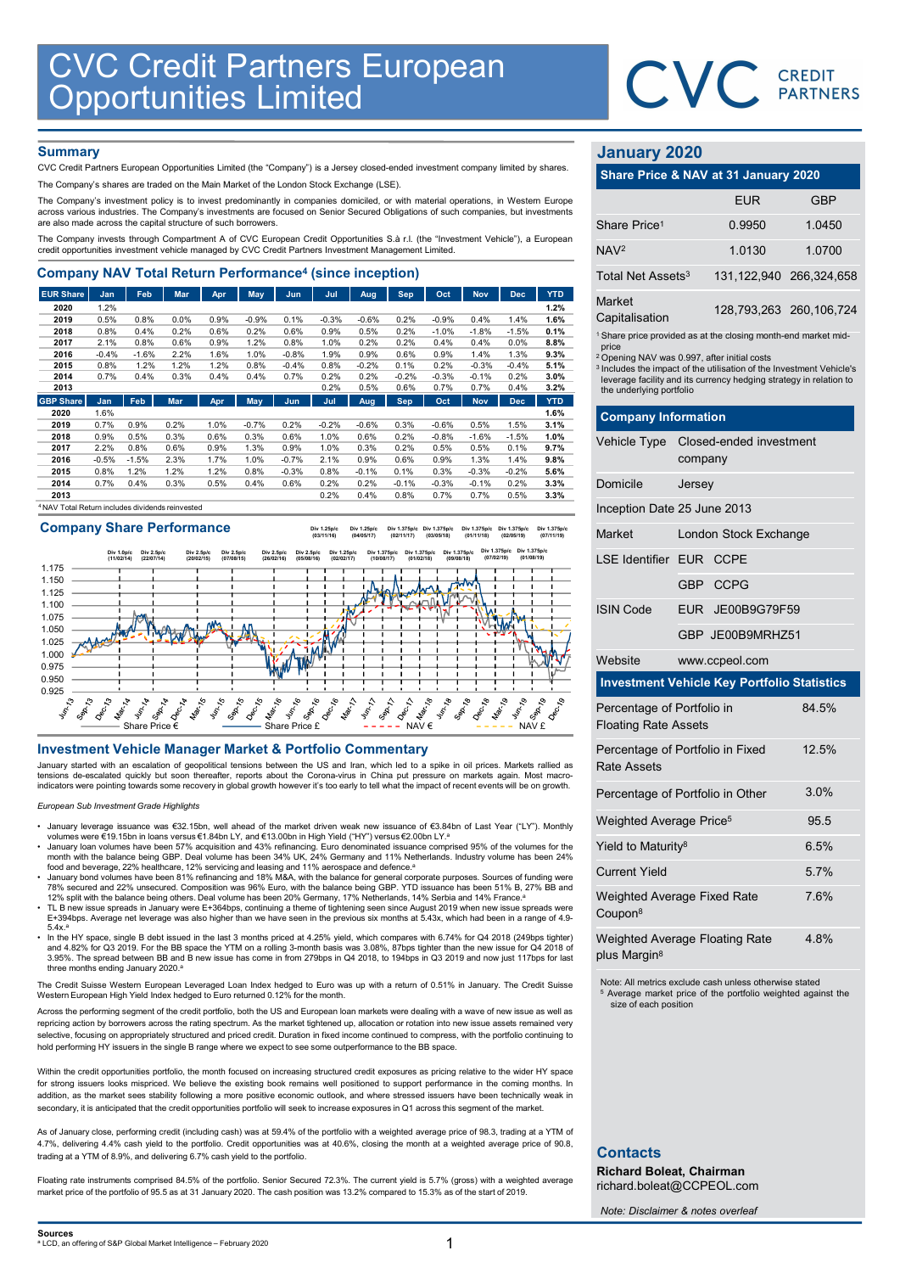

## **Summary**

| <b>CVC Credit Partners European<br/>Opportunities Limited</b>                                                                                                                                                                           |                 |                 |              |              |                 |                    |                 |                 |                 |                    |                 |                 |              |                                                                                   |                                                                   |            |
|-----------------------------------------------------------------------------------------------------------------------------------------------------------------------------------------------------------------------------------------|-----------------|-----------------|--------------|--------------|-----------------|--------------------|-----------------|-----------------|-----------------|--------------------|-----------------|-----------------|--------------|-----------------------------------------------------------------------------------|-------------------------------------------------------------------|------------|
|                                                                                                                                                                                                                                         |                 |                 |              |              |                 |                    |                 |                 |                 |                    |                 |                 |              |                                                                                   | <b>CVC</b> CREDIT                                                 |            |
|                                                                                                                                                                                                                                         |                 |                 |              |              |                 |                    |                 |                 |                 |                    |                 |                 |              |                                                                                   |                                                                   |            |
|                                                                                                                                                                                                                                         |                 |                 |              |              |                 |                    |                 |                 |                 |                    |                 |                 |              |                                                                                   |                                                                   |            |
| <b>Summary</b><br>CVC Credit Partners European Opportunities Limited (the "Company") is a Jersey closed-ended investment company limited by shares.                                                                                     |                 |                 |              |              |                 |                    |                 |                 |                 |                    |                 |                 |              | <b>January 2020</b>                                                               |                                                                   |            |
| The Company's shares are traded on the Main Market of the London Stock Exchange (LSE).                                                                                                                                                  |                 |                 |              |              |                 |                    |                 |                 |                 |                    |                 |                 |              | Share Price & NAV at 31 January 2020                                              |                                                                   |            |
| The Company's investment policy is to invest predominantly in companies domiciled, or with material operations, in Western Europe                                                                                                       |                 |                 |              |              |                 |                    |                 |                 |                 |                    |                 |                 |              |                                                                                   | <b>EUR</b>                                                        | <b>GBP</b> |
| across various industries. The Company's investments are focused on Senior Secured Obligations of such companies, but investments                                                                                                       |                 |                 |              |              |                 |                    |                 |                 |                 |                    |                 |                 |              |                                                                                   |                                                                   |            |
| are also made across the capital structure of such borrowers.                                                                                                                                                                           |                 |                 |              |              |                 |                    |                 |                 |                 |                    |                 |                 |              | Share Price <sup>1</sup>                                                          | 0.9950                                                            | 1.0450     |
| The Company invests through Compartment A of CVC European Credit Opportunities S.à r.l. (the "Investment Vehicle"), a European<br>credit opportunities investment vehicle managed by CVC Credit Partners Investment Management Limited. |                 |                 |              |              |                 |                    |                 |                 |                 |                    |                 |                 |              | NAV <sub>2</sub>                                                                  | 1.0130                                                            | 1.0700     |
| <b>Company NAV Total Return Performance<sup>4</sup> (since inception)</b>                                                                                                                                                               |                 |                 |              |              |                 |                    |                 |                 |                 |                    |                 |                 |              | Total Net Assets <sup>3</sup>                                                     | 131,122,940                                                       | 266,324,65 |
| <b>EUR Share</b>                                                                                                                                                                                                                        | Jan             | Feb             | Mar          | Apr          | <b>May</b>      | Jun                | Jul             | Aug             | Sep             | Oct                | <b>Nov</b>      | <b>Dec</b>      | <b>YTD</b>   | Market                                                                            |                                                                   |            |
| 2020                                                                                                                                                                                                                                    | 1.2%            |                 |              |              |                 |                    |                 |                 |                 |                    |                 |                 | 1.2%         |                                                                                   | 128,793,263 260,106,72                                            |            |
| 2019<br>2018                                                                                                                                                                                                                            | 0.5%<br>0.8%    | 0.8%<br>0.4%    | 0.0%<br>0.2% | 0.9%<br>0.6% | $-0.9%$<br>0.2% | 0.1%<br>0.6%       | $-0.3%$<br>0.9% | $-0.6%$<br>0.5% | 0.2%<br>0.2%    | $-0.9%$<br>$-1.0%$ | 0.4%<br>$-1.8%$ | 1.4%<br>$-1.5%$ | 1.6%<br>0.1% | Capitalisation                                                                    |                                                                   |            |
| 2017                                                                                                                                                                                                                                    | 2.1%            | 0.8%            | 0.6%         | 0.9%         | 1.2%            | 0.8%               | 1.0%            | 0.2%            | 0.2%            | 0.4%               | 0.4%            | 0.0%            | 8.8%         | <sup>1</sup> Share price provided as at the closing month-end market mid<br>price |                                                                   |            |
| 2016                                                                                                                                                                                                                                    | $-0.4%$         | $-1.6%$         | 2.2%         | 1.6%         | 1.0%            | $-0.8%$            | 1.9%            | 0.9%            | 0.6%            | 0.9%               | 1.4%            | 1.3%            | 9.3%         | <sup>2</sup> Opening NAV was 0.997, after initial costs                           |                                                                   |            |
| 2015                                                                                                                                                                                                                                    | 0.8%            | 1.2%            | 1.2%         | 1.2%         | 0.8%            | $-0.4%$            | 0.8%            | $-0.2%$         | 0.1%            | 0.2%               | $-0.3%$         | $-0.4%$         | 5.1%         | <sup>3</sup> Includes the impact of the utilisation of the Investment Vehicle     |                                                                   |            |
| 2014<br>2013                                                                                                                                                                                                                            | 0.7%            | 0.4%            | 0.3%         | 0.4%         | 0.4%            | 0.7%               | 0.2%<br>0.2%    | 0.2%<br>0.5%    | $-0.2%$<br>0.6% | $-0.3%$<br>0.7%    | $-0.1%$<br>0.7% | 0.2%<br>0.4%    | 3.0%<br>3.2% |                                                                                   | leverage facility and its currency hedging strategy in relation t |            |
| <b>GBP Share</b>                                                                                                                                                                                                                        | Jan             | Feb             | <b>Mar</b>   | Apr          | May             | Jun                | Jul             | Aug             | <b>Sep</b>      | Oct                | <b>Nov</b>      | <b>Dec</b>      | <b>YTD</b>   | the underlying portfolio                                                          |                                                                   |            |
| 2020                                                                                                                                                                                                                                    | 1.6%            |                 |              |              |                 |                    |                 |                 |                 |                    |                 |                 | 1.6%         | <b>Company Information</b>                                                        |                                                                   |            |
| 2019                                                                                                                                                                                                                                    | 0.7%            | 0.9%            | 0.2%         | 1.0%         | $-0.7%$         | 0.2%               | $-0.2%$         | $-0.6%$         | 0.3%            | $-0.6%$            | 0.5%            | 1.5%            | 3.1%         |                                                                                   |                                                                   |            |
| 2018                                                                                                                                                                                                                                    | 0.9%            | 0.5%            | 0.3%         | 0.6%         | 0.3%            | 0.6%               | 1.0%            | 0.6%            | 0.2%            | $-0.8%$            | $-1.6%$         | $-1.5%$         | 1.0%         | Vehicle Type                                                                      | Closed-ended investment                                           |            |
| 2017                                                                                                                                                                                                                                    | 2.2%            | 0.8%            | 0.6%         | 0.9%         | 1.3%            | 0.9%               | 1.0%            | 0.3%            | 0.2%            | 0.5%               | 0.5%            | 0.1%            | 9.7%         |                                                                                   |                                                                   |            |
| 2016<br>2015                                                                                                                                                                                                                            | $-0.5%$<br>0.8% | $-1.5%$<br>1.2% | 2.3%<br>1.2% | 1.7%<br>1.2% | 1.0%<br>0.8%    | $-0.7%$<br>$-0.3%$ | 2.1%<br>0.8%    | 0.9%<br>$-0.1%$ | 0.6%<br>0.1%    | 0.9%<br>0.3%       | 1.3%<br>$-0.3%$ | 1.4%<br>$-0.2%$ | 9.8%<br>5.6% |                                                                                   | company                                                           |            |
| 2014                                                                                                                                                                                                                                    | 0.7%            | 0.4%            | 0.3%         | 0.5%         | 0.4%            | 0.6%               | 0.2%            | 0.2%            | $-0.1%$         | $-0.3%$            | $-0.1%$         | 0.2%            | 3.3%         | Domicile                                                                          | Jersey                                                            |            |
| 2013                                                                                                                                                                                                                                    |                 |                 |              |              |                 |                    | 0.2%            | 0.4%            | 0.8%            | 0.7%               | 0.7%            | 0.5%            | 3.3%         |                                                                                   |                                                                   |            |
| NAV Total Return includes dividends reinvested                                                                                                                                                                                          |                 |                 |              |              |                 |                    |                 |                 |                 |                    |                 |                 |              | Incention Date 25 June 2013                                                       |                                                                   |            |

# Company Share Performance



### European Sub Investment Grade Highlights

- January leverage issuance was €32.15bn, well ahead of the market driven weak new issuance of €3.84bn of Last Year ("LY"). Monthly<br>volumes were €19.15bn in loans versus €1.84bn LY, and €13.00bn in High Yield ("HY") versu
- University of the volumes have been 57% acquisition and 43% refinancing. Euro denominated issuance comprised 95% of the volumes for the وwonth with the balance being GBP. Deal volume has been 24% UK, 24% Germany and 11%
- food and beverage, 22% healthcare, 12% servicing and leasing and 11% aerospace and defence.ª<br>• January bond volumes have been 81% refinancing and 18% M&A, with the balance for general corporate purposes.<br>78% secured and 22
- TL B new issue spreads in January were E+364bps, continuing a theme of tightening seen since August 2019 when new issue spreads were<br>1.994bps. Average net leverage was also higher than we have seen in the previous six mont  $5.4 \times a$
- In the HY space, single B debt issued in the last 3 months priced at 4.25% yield, which compares with 6.74% for Q4 2018 (249bps tighter)<br>and 4.82% for Q3 2019. For the BB space the YTM on a rolling 3-month basis was 3.08%, 3.95%. The spread between BB and B new issue has come in from 279bps in Q4 2018, to 194bps in Q3 2019 and now just 117bps for last<br>three months ending January 2020.ª

The Credit Suisse Western European Leveraged Loan Index hedged to Euro was up with a return of 0.51% in January. The Credit Suisse Western European High Yield Index hedged to Euro returned 0.12% for the month.

Across the performing segment of the credit portfolio, both the US and European loan markets were dealing with a wave of new issue as well as repricing action by borrowers across the rating spectrum. As the market tightened up, allocation or rotation into new issue assets remained very selective, focusing on appropriately structured and priced credit. Duration in fixed income continued to compress, with the portfolio continuing to hold performing HY issuers in the single B range where we expect to see some outperformance to the BB space.

Within the credit opportunities portfolio, the month focused on increasing structured credit exposures as pricing relative to the wider HY space for strong issuers looks mispriced. We believe the existing book remains well positioned to support performance in the coming months. In addition, as the market sees stability following a more positive economic outlook, and where stressed issuers have been technically weak in secondary, it is anticipated that the credit opportunities portfolio will seek to increase exposures in Q1 across this segment of the market

As of January close, performing credit (including cash) was at 59.4% of the portfolio with a weighted average price of 98.3, trading at a YTM of 4.7%, delivering 4.4% cash yield to the portfolio. Credit opportunities was at 40.6%, closing the month at a weighted average price of 90.8, trading at a YTM of 8.9%, and delivering 6.7% cash yield to the portfolio.

Floating rate instruments comprised 84.5% of the portfolio. Senior Secured 72.3%. The current yield is 5.7% (gross) with a weighted average market price of the portfolio of 95.5 as at 31 January 2020. The cash position was 13.2% compared to 15.3% as of the start of 2019.

# January 2020

|                                      | CVC CREDIT  |                         |
|--------------------------------------|-------------|-------------------------|
|                                      |             |                         |
|                                      |             |                         |
|                                      |             |                         |
| <b>January 2020</b>                  |             |                         |
| Share Price & NAV at 31 January 2020 |             |                         |
|                                      | <b>EUR</b>  | <b>GBP</b>              |
| Share Price <sup>1</sup>             | 0.9950      | 1.0450                  |
| NAV <sub>2</sub>                     | 1.0130      | 1.0700                  |
| Total Net Assets <sup>3</sup>        | 131,122,940 | 266,324,658             |
| Market<br>Capitalisation             |             | 128,793,263 260,106,724 |

| <b>CVC Credit Partners European</b><br><b>Opportunities Limited</b>                                                                                                                                                                                                                                                                                                                                                                                                                                                                                                                                                                                                                                                          |                                                                                                                                                                                                                                                                                                                                    |                       | <b>CREDIT</b><br><b>PARTNERS</b> |
|------------------------------------------------------------------------------------------------------------------------------------------------------------------------------------------------------------------------------------------------------------------------------------------------------------------------------------------------------------------------------------------------------------------------------------------------------------------------------------------------------------------------------------------------------------------------------------------------------------------------------------------------------------------------------------------------------------------------------|------------------------------------------------------------------------------------------------------------------------------------------------------------------------------------------------------------------------------------------------------------------------------------------------------------------------------------|-----------------------|----------------------------------|
| <b>Summary</b>                                                                                                                                                                                                                                                                                                                                                                                                                                                                                                                                                                                                                                                                                                               | <b>January 2020</b>                                                                                                                                                                                                                                                                                                                |                       |                                  |
| CVC Credit Partners European Opportunities Limited (the "Company") is a Jersey closed-ended investment company limited by shares.<br>The Company's shares are traded on the Main Market of the London Stock Exchange (LSE).                                                                                                                                                                                                                                                                                                                                                                                                                                                                                                  | Share Price & NAV at 31 January 2020                                                                                                                                                                                                                                                                                               |                       |                                  |
| The Company's investment policy is to invest predominantly in companies domiciled, or with material operations, in Western Europe                                                                                                                                                                                                                                                                                                                                                                                                                                                                                                                                                                                            |                                                                                                                                                                                                                                                                                                                                    | EUR                   | <b>GBP</b>                       |
| across various industries. The Company's investments are focused on Senior Secured Obligations of such companies, but investments<br>are also made across the capital structure of such borrowers.                                                                                                                                                                                                                                                                                                                                                                                                                                                                                                                           | Share Price <sup>1</sup>                                                                                                                                                                                                                                                                                                           | 0.9950                | 1.0450                           |
| The Company invests through Compartment A of CVC European Credit Opportunities S.à r.l. (the "Investment Vehicle"), a European<br>credit opportunities investment vehicle managed by CVC Credit Partners Investment Management Limited.                                                                                                                                                                                                                                                                                                                                                                                                                                                                                      | NAV <sup>2</sup>                                                                                                                                                                                                                                                                                                                   | 1.0130                | 1.0700                           |
| <b>Company NAV Total Return Performance<sup>4</sup> (since inception)</b>                                                                                                                                                                                                                                                                                                                                                                                                                                                                                                                                                                                                                                                    | Total Net Assets $^3$                                                                                                                                                                                                                                                                                                              |                       | 131, 122, 940 266, 324, 658      |
| <b>EUR Share</b><br>Feb<br>Mar<br>Apr<br>Jun<br>Jul<br>Aug<br><b>Sep</b><br>Oct<br><b>Nov</b><br>Dec<br><b>YTD</b><br>Jan<br>May<br>1.2%<br>2020                                                                                                                                                                                                                                                                                                                                                                                                                                                                                                                                                                             | Market                                                                                                                                                                                                                                                                                                                             |                       |                                  |
| 1.2%<br>0.5%<br>$-0.9%$<br>1.4%<br>1.6%<br>2019<br>0.8%<br>0.0%<br>0.9%<br>0.1%<br>$-0.3%$<br>$-0.6%$<br>0.2%<br>$-0.9%$<br>0.4%<br>0.4%<br>0.2%<br>0.2%<br>0.9%<br>0.5%<br>0.2%<br>$-1.8%$<br>$-1.5%$<br>2018<br>0.8%<br>0.6%<br>0.6%<br>$-1.0%$<br>$0.1\%$                                                                                                                                                                                                                                                                                                                                                                                                                                                                 | Capitalisation                                                                                                                                                                                                                                                                                                                     |                       | 128,793,263 260,106,724          |
| 0.8%<br>0.6%<br>0.9%<br>1.2%<br>0.8%<br>1.0%<br>0.2%<br>0.2%<br>0.4%<br>0.4%<br>0.0%<br>8.8%<br>2017<br>2.1%<br>2.2%<br>1.6%<br>1.0%<br>$-0.8%$<br>1.9%<br>0.9%<br>0.6%<br>1.3%<br>$9.3\%$<br>2016<br>$-0.4%$<br>$-1.6%$<br>0.9%<br>1.4%<br>1.2%<br>0.8%<br>$-0.4%$<br>0.8%<br>$-0.2%$<br>0.1%<br>$-0.3%$<br>5.1%<br>2015<br>0.8%<br>1.2%<br>1.2%<br>0.2%<br>$-0.4%$<br>2014<br>0.4%<br>0.3%<br>0.4%<br>0.4%<br>0.7%<br>0.2%<br>0.2%<br>$-0.2%$<br>0.2%<br>0.7%<br>$-0.3%$<br>$-0.1%$<br>$3.0\%$<br>2013<br>0.2%<br>0.5%<br>0.6%<br>0.7%<br>0.7%<br>0.4%<br>$3.2\%$<br><b>Dec</b><br>Feb<br><b>Mar</b><br>Jul<br>Aug<br><b>Sep</b><br>Oct<br><b>Nov</b><br><b>YTD</b><br><b>GBP Share</b><br><b>Jan</b><br>Apr<br>May<br>Jun | <sup>1</sup> Share price provided as at the closing month-end market mid-<br>price<br><sup>2</sup> Opening NAV was 0.997, after initial costs<br><sup>3</sup> Includes the impact of the utilisation of the Investment Vehicle's<br>leverage facility and its currency hedging strategy in relation to<br>the underlying portfolio |                       |                                  |
| 1.6%<br>1.6%<br>2020<br>0.5%<br>1.5%<br>3.1%<br>0.7%<br>0.2%<br>$-0.7%$<br>0.2%<br>$-0.2%$<br>$-0.6%$<br>0.3%<br>$-0.6%$<br>2019<br>$0.9\%$<br>1.0%                                                                                                                                                                                                                                                                                                                                                                                                                                                                                                                                                                          | <b>Company Information</b>                                                                                                                                                                                                                                                                                                         |                       |                                  |
| 1.0%<br>0.6%<br>0.2%<br>$-0.8%$<br>1.0%<br>2018<br>0.9%<br>0.5%<br>0.3%<br>0.6%<br>0.3%<br>0.6%<br>$-1.6%$<br>$-1.5%$<br>2017<br>2.2%<br>0.8%<br>0.6%<br>0.9%<br>1.3%<br>0.9%<br>1.0%<br>0.3%<br>0.2%<br>0.5%<br>0.5%<br>0.1%<br>$9.7\%$<br>$-1.5%$<br>2.3%<br>2.1%<br>0.9%<br>0.9%<br>1.3%<br>1.4%<br>9.8%<br>2016<br>$-0.5%$<br>1.7%<br>1.0%<br>$-0.7%$<br>0.6%                                                                                                                                                                                                                                                                                                                                                            | Vehicle Type Closed-ended investment                                                                                                                                                                                                                                                                                               | company               |                                  |
| 2015<br>$0.8\%$<br>1.2%<br>1.2%<br>1.2%<br>0.8%<br>$-0.3%$<br>0.8%<br>$-0.1%$<br>0.1%<br>0.3%<br>$-0.3%$<br>$-0.2%$<br>5.6%<br>2014<br>0.7%<br>0.4%<br>0.3%<br>0.5%<br>0.6%<br>0.2%<br>0.2%<br>$-0.3%$<br>0.2%<br>3.3%<br>0.4%<br>-0.1%<br>$-0.1%$                                                                                                                                                                                                                                                                                                                                                                                                                                                                           | Domicile<br>Jersey                                                                                                                                                                                                                                                                                                                 |                       |                                  |
| 0.2%<br>0.4%<br>0.8%<br>0.7%<br>0.7%<br>0.5%<br>2013<br>$3.3\%$<br>NAV Total Return includes dividends reinvested                                                                                                                                                                                                                                                                                                                                                                                                                                                                                                                                                                                                            | Inception Date 25 June 2013                                                                                                                                                                                                                                                                                                        |                       |                                  |
| <b>Company Share Performance</b><br>Div 1.375p/c Div 1.375p/c Div 1.375p/c Div 1.375p/c Div 1.375p/c<br>Div 1.25p/c<br>Div 1.25p/c                                                                                                                                                                                                                                                                                                                                                                                                                                                                                                                                                                                           | Market                                                                                                                                                                                                                                                                                                                             | London Stock Exchange |                                  |
| Div 1.375p/c Div 1.375p/c<br>Div 1.0p/c Div 2.5p/c<br>Div 2.5p/c<br>Div 2.5p/c<br>Div 2.5p/c<br>Div 2.5p/c<br>Div 1.25p/c<br>Div 1.375p/c Div 1.375p/c Div 1.375p/c<br>(07/02/19)<br>(22/07/14)<br>(26/02/16)<br>(05/08/16)<br>(02/02/17)<br>(10/08/17)<br>(01/02/18)                                                                                                                                                                                                                                                                                                                                                                                                                                                        | LSE Identifier                                                                                                                                                                                                                                                                                                                     | EUR CCPE              |                                  |
| 1.175<br>1.150                                                                                                                                                                                                                                                                                                                                                                                                                                                                                                                                                                                                                                                                                                               |                                                                                                                                                                                                                                                                                                                                    |                       |                                  |
| 1.125<br>1.100                                                                                                                                                                                                                                                                                                                                                                                                                                                                                                                                                                                                                                                                                                               | <b>GBP</b>                                                                                                                                                                                                                                                                                                                         | <b>CCPG</b>           |                                  |
| 1.075<br>1.050                                                                                                                                                                                                                                                                                                                                                                                                                                                                                                                                                                                                                                                                                                               | <b>ISIN Code</b>                                                                                                                                                                                                                                                                                                                   | EUR JE00B9G79F59      |                                  |
| 1.025<br>1.000                                                                                                                                                                                                                                                                                                                                                                                                                                                                                                                                                                                                                                                                                                               |                                                                                                                                                                                                                                                                                                                                    | GBP JE00B9MRHZ51      |                                  |
| 0.975                                                                                                                                                                                                                                                                                                                                                                                                                                                                                                                                                                                                                                                                                                                        | Website                                                                                                                                                                                                                                                                                                                            | www.ccpeol.com        |                                  |
| 0.950<br>0.925<br>ಿ                                                                                                                                                                                                                                                                                                                                                                                                                                                                                                                                                                                                                                                                                                          | <b>Investment Vehicle Key Portfolio Statistics</b>                                                                                                                                                                                                                                                                                 |                       |                                  |
| Mar. 16<br>Dec. 14 to<br><b>MATIS</b><br>Sep 15<br>$O_{\!\!\mathfrak{S}_{\mathbb{C}_{\mathbb{Z}}/ \mathbb{S}}}$<br><b>MATO</b><br>ಿ<br>$\mathcal{L}^{\circ}$<br>$O_{\text{GC}_{r^*p}}$<br>Share Price $\epsilon$<br>— Share Price £<br>NAV £                                                                                                                                                                                                                                                                                                                                                                                                                                                                                 | Percentage of Portfolio in<br><b>Floating Rate Assets</b>                                                                                                                                                                                                                                                                          |                       | 84.5%                            |
| <b>Investment Vehicle Manager Market &amp; Portfolio Commentary</b><br>January started with an escalation of geopolitical tensions between the US and Iran, which led to a spike in oil prices. Markets rallied as                                                                                                                                                                                                                                                                                                                                                                                                                                                                                                           | Percentage of Portfolio in Fixed<br><b>Rate Assets</b>                                                                                                                                                                                                                                                                             |                       | 12.5%                            |
| tensions de-escalated quickly but soon thereafter, reports about the Corona-virus in China put pressure on markets again. Most macro-<br>indicators were pointing towards some recovery in global growth however it's too early to tell what the impact of recent events will be on growth.<br>European Sub Investment Grade Highlights                                                                                                                                                                                                                                                                                                                                                                                      | Percentage of Portfolio in Other                                                                                                                                                                                                                                                                                                   |                       | 3.0%                             |
| • January leverage issuance was €32.15bn, well ahead of the market driven weak new issuance of €3.84bn of Last Year ("LY"). Monthly                                                                                                                                                                                                                                                                                                                                                                                                                                                                                                                                                                                          | Weighted Average Price <sup>5</sup>                                                                                                                                                                                                                                                                                                |                       | 95.5                             |
| volumes were €19.15bn in loans versus €1.84bn LY, and €13.00bn in High Yield ("HY") versus €2.00bn LY.ª<br>January loan volumes have been 57% acquisition and 43% refinancing. Euro denominated issuance comprised 95% of the volumes for the                                                                                                                                                                                                                                                                                                                                                                                                                                                                                | Yield to Maturity <sup>8</sup>                                                                                                                                                                                                                                                                                                     |                       | 6.5%                             |
| month with the balance being GBP. Deal volume has been 34% UK, 24% Germany and 11% Netherlands. Industry volume has been 24%<br>food and beverage, 22% healthcare, 12% servicing and leasing and 11% aerospace and defence. <sup>a</sup><br>January bond volumes have been 81% refinancing and 18% M&A, with the balance for general corporate purposes. Sources of funding were                                                                                                                                                                                                                                                                                                                                             | <b>Current Yield</b>                                                                                                                                                                                                                                                                                                               |                       | 5.7%                             |
| 78% secured and 22% unsecured. Composition was 96% Euro, with the balance being GBP. YTD issuance has been 51% B, 27% BB and<br>12% split with the balance being others. Deal volume has been 20% Germany, 17% Netherlands, 14% Serbia and 14% France. <sup>a</sup><br>TL B new issue spreads in January were E+364bps, continuing a theme of tightening seen since August 2019 when new issue spreads were<br>E+394bps. Average net leverage was also higher than we have seen in the previous six months at 5.43x, which had been in a range of 4.9-                                                                                                                                                                       | Weighted Average Fixed Rate<br>Coupon <sup>8</sup>                                                                                                                                                                                                                                                                                 |                       | 7.6%                             |
| 5.4x. <sup>a</sup><br>In the HY space, single B debt issued in the last 3 months priced at 4.25% yield, which compares with 6.74% for Q4 2018 (249bps tighter)<br>and 4.82% for Q3 2019. For the BB space the YTM on a rolling 3-month basis was 3.08%, 87bps tighter than the new issue for Q4 2018 of<br>3.95%. The spread between BB and B new issue has come in from 279bps in Q4 2018, to 194bps in Q3 2019 and now just 117bps for last                                                                                                                                                                                                                                                                                | Weighted Average Floating Rate<br>plus Margin <sup>8</sup>                                                                                                                                                                                                                                                                         |                       | 4.8%                             |
| three months ending January 2020 a                                                                                                                                                                                                                                                                                                                                                                                                                                                                                                                                                                                                                                                                                           |                                                                                                                                                                                                                                                                                                                                    |                       |                                  |

Note: All metrics exclude cash unless otherwise stated <sup>5</sup> Average market price of the portfolio weighted against the size of each position

## **Contacts**

Richard Boleat, Chairman richard.boleat@CCPEOL.com

Note: Disclaimer & notes overleaf